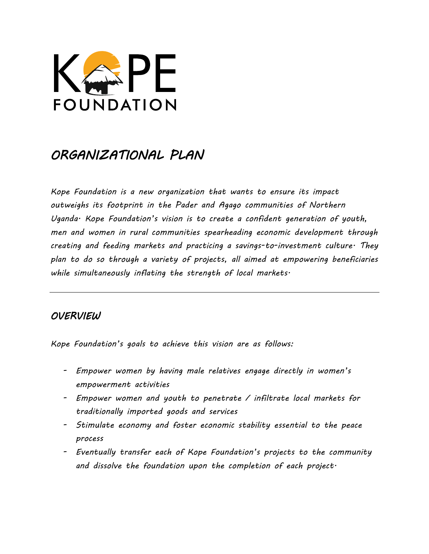

# *ORGANIZATIONAL PLAN*

*Kope Foundation is a new organization that wants to ensure its impact outweighs its footprint in the Pader and Agago communities of Northern Uganda. Kope Foundation*'*s vision is to create a confident generation of youth, men and women in rural communities spearheading economic development through creating and feeding markets and practicing a savings-to-investment culture. They plan to do so through a variety of projects, all aimed at empowering beneficiaries while simultaneously inflating the strength of local markets.* 

# *OVERVIEW*

*Kope Foundation*'*s goals to achieve this vision are as follows:* 

- *- Empower women by having male relatives engage directly in women*'*s empowerment activities*
- *- Empower women and youth to penetrate / infiltrate local markets for traditionally imported goods and services*
- *- Stimulate economy and foster economic stability essential to the peace process*
- *- Eventually transfer each of Kope Foundation*'*s projects to the community and dissolve the foundation upon the completion of each project.*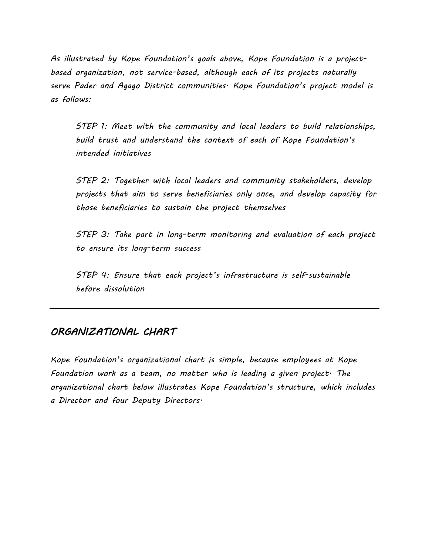*As illustrated by Kope Foundation*'*s goals above, Kope Foundation is a projectbased organization, not service-based, although each of its projects naturally serve Pader and Agago District communities. Kope Foundation*'*s project model is as follows:* 

*STEP 1: Meet with the community and local leaders to build relationships, build trust and understand the context of each of Kope Foundation*'*s intended initiatives* 

*STEP 2: Together with local leaders and community stakeholders, develop projects that aim to serve beneficiaries only once, and develop capacity for those beneficiaries to sustain the project themselves* 

*STEP 3: Take part in long-term monitoring and evaluation of each project to ensure its long-term success* 

*STEP 4: Ensure that each project*'*s infrastructure is self-sustainable before dissolution* 

# *ORGANIZATIONAL CHART*

*Kope Foundation*'*s organizational chart is simple, because employees at Kope Foundation work as a team, no matter who is leading a given project. The organizational chart below illustrates Kope Foundation*'*s structure, which includes a Director and four Deputy Directors.*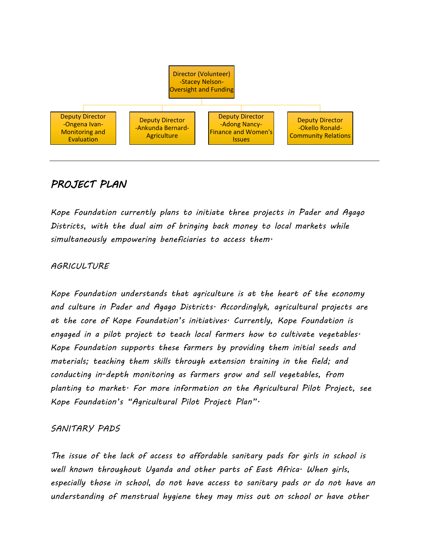

# *PROJECT PLAN*

*Kope Foundation currently plans to initiate three projects in Pader and Agago Districts, with the dual aim of bringing back money to local markets while simultaneously empowering beneficiaries to access them.* 

## *AGRICULTURE*

*Kope Foundation understands that agriculture is at the heart of the economy and culture in Pader and Agago Districts. Accordinglyk, agricultural projects are at the core of Kope Foundation*'*s initiatives. Currently, Kope Foundation is engaged in a pilot project to teach local farmers how to cultivate vegetables. Kope Foundation supports these farmers by providing them initial seeds and materials; teaching them skills through extension training in the field; and conducting in-depth monitoring as farmers grow and sell vegetables, from planting to market. For more information on the Agricultural Pilot Project, see Kope Foundation*'*s* "*Agricultural Pilot Project Plan*"*.* 

## *SANITARY PADS*

*The issue of the lack of access to affordable sanitary pads for girls in school is well known throughout Uganda and other parts of East Africa. When girls, especially those in school, do not have access to sanitary pads or do not have an understanding of menstrual hygiene they may miss out on school or have other*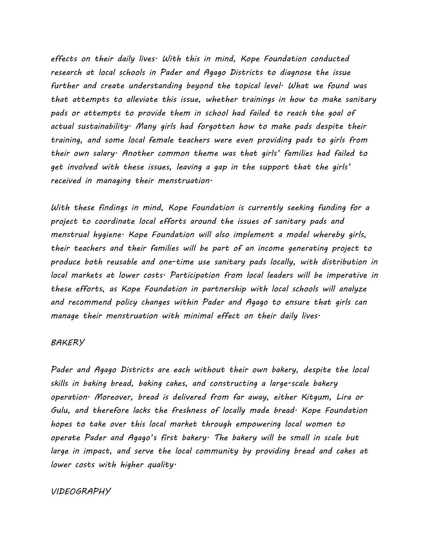*effects on their daily lives. With this in mind, Kope Foundation conducted research at local schools in Pader and Agago Districts to diagnose the issue further and create understanding beyond the topical level. What we found was that attempts to alleviate this issue, whether trainings in how to make sanitary pads or attempts to provide them in school had failed to reach the goal of actual sustainability. Many girls had forgotten how to make pads despite their training, and some local female teachers were even providing pads to girls from their own salary. Another common theme was that girls*' *families had failed to get involved with these issues, leaving a gap in the support that the girls*' *received in managing their menstruation.* 

*With these findings in mind, Kope Foundation is currently seeking funding for a project to coordinate local efforts around the issues of sanitary pads and menstrual hygiene. Kope Foundation will also implement a model whereby girls, their teachers and their families will be part of an income generating project to produce both reusable and one-time use sanitary pads locally, with distribution in local markets at lower costs. Participation from local leaders will be imperative in these efforts, as Kope Foundation in partnership with local schools will analyze and recommend policy changes within Pader and Agago to ensure that girls can manage their menstruation with minimal effect on their daily lives.* 

#### *BAKERY*

*Pader and Agago Districts are each without their own bakery, despite the local skills in baking bread, baking cakes, and constructing a large-scale bakery operation. Moreover, bread is delivered from far away, either Kitgum, Lira or Gulu, and therefore lacks the freshness of locally made bread. Kope Foundation hopes to take over this local market through empowering local women to operate Pader and Agago*'*s first bakery. The bakery will be small in scale but large in impact, and serve the local community by providing bread and cakes at lower costs with higher quality.* 

#### *VIDEOGRAPHY*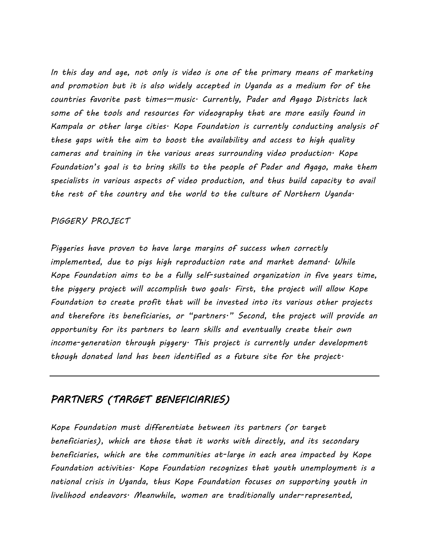*In this day and age, not only is video is one of the primary means of marketing and promotion but it is also widely accepted in Uganda as a medium for of the countries favorite past times*—*music. Currently, Pader and Agago Districts lack some of the tools and resources for videography that are more easily found in Kampala or other large cities. Kope Foundation is currently conducting analysis of these gaps with the aim to boost the availability and access to high quality cameras and training in the various areas surrounding video production. Kope Foundation*'*s goal is to bring skills to the people of Pader and Agago, make them specialists in various aspects of video production, and thus build capacity to avail the rest of the country and the world to the culture of Northern Uganda.* 

#### *PIGGERY PROJECT*

*Piggeries have proven to have large margins of success when correctly implemented, due to pigs high reproduction rate and market demand. While Kope Foundation aims to be a fully self-sustained organization in five years time, the piggery project will accomplish two goals. First, the project will allow Kope Foundation to create profit that will be invested into its various other projects and therefore its beneficiaries, or* "*partners.*" *Second, the project will provide an opportunity for its partners to learn skills and eventually create their own income-generation through piggery. This project is currently under development though donated land has been identified as a future site for the project.* 

# *PARTNERS (TARGET BENEFICIARIES)*

*Kope Foundation must differentiate between its partners (or target beneficiaries), which are those that it works with directly, and its secondary beneficiaries, which are the communities at-large in each area impacted by Kope Foundation activities. Kope Foundation recognizes that youth unemployment is a national crisis in Uganda, thus Kope Foundation focuses on supporting youth in livelihood endeavors. Meanwhile, women are traditionally under-represented,*